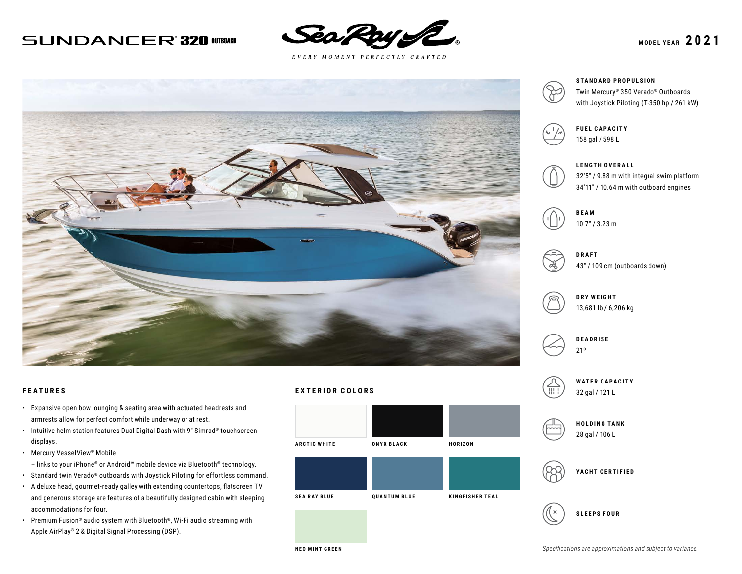# **SUNDANCER 320 OTBOARD**



 $E \; V \; E \; R \; Y \quad M \; O \; M \; E \; N \; T \quad P \; E \; R \; F \; E \; C \; T \; L \; Y \quad C \; R \; A \; F \; T \; E \; D$ 





#### **STANDARD PROPULSION**

Twin Mercury® 350 Verado® Outboards with Joystick Piloting (T-350 hp / 261 kW)



## **FUEL CAPACITY** 158 gal / 598 L

**LENGTH OVERALL**



32′5″ / 9.88 m with integral swim platform 34′11″ / 10.64 m with outboard engines





**DRAFT** 43″ / 109 cm (outboards down)



## **DRY WEIGHT** 13,681 lb / 6,206 kg



21º









## **FEATURES**

- Expansive open bow lounging & seating area with actuated headrests and armrests allow for perfect comfort while underway or at rest.
- Intuitive helm station features Dual Digital Dash with 9″ Simrad® touchscreen displays.
- Mercury VesselView® Mobile
- links to your iPhone® or Android™ mobile device via Bluetooth® technology.
- Standard twin Verado® outboards with Joystick Piloting for effortless command.
- A deluxe head, gourmet-ready galley with extending countertops, flatscreen TV and generous storage are features of a beautifully designed cabin with sleeping accommodations for four.
- Premium Fusion® audio system with Bluetooth®, Wi-Fi audio streaming with Apple AirPlay® 2 & Digital Signal Processing (DSP).

## **EXTERIOR COLORS**



**NEO MINT GREEN**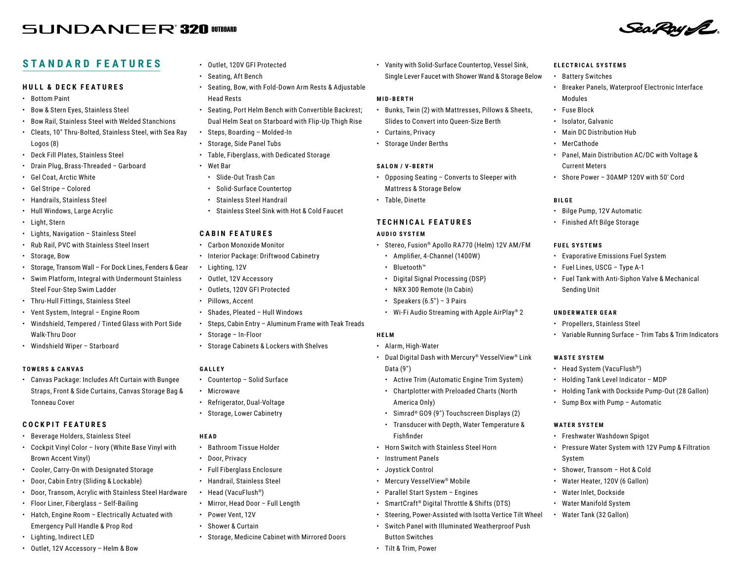# **SUNDANCER'320 OTBOAD**

## **STANDARD FEATURES**

#### **HULL & DECK FEATURES**

- Bottom Paint
- Bow & Stern Eyes, Stainless Steel
- Bow Rail, Stainless Steel with Welded Stanchions
- Cleats, 10″ Thru-Bolted, Stainless Steel, with Sea Ray Logos (8)
- Deck Fill Plates, Stainless Steel
- Drain Plug, Brass-Threaded Garboard
- Gel Coat, Arctic White
- Gel Stripe Colored
- Handrails, Stainless Steel
- Hull Windows, Large Acrylic
- Light, Stern
- Lights, Navigation Stainless Steel
- Rub Rail, PVC with Stainless Steel Insert
- Storage, Bow
- Storage, Transom Wall For Dock Lines, Fenders & Gear
- Swim Platform, Integral with Undermount Stainless Steel Four-Step Swim Ladder
- Thru-Hull Fittings, Stainless Steel
- Vent System, Integral Engine Room
- Windshield, Tempered / Tinted Glass with Port Side Walk-Thru Door
- Windshield Wiper Starboard

#### **TOWERS & CANVAS**

• Canvas Package: Includes Aft Curtain with Bungee Straps, Front & Side Curtains, Canvas Storage Bag & Tonneau Cover

## **COCKPIT FEATURES**

- Beverage Holders, Stainless Steel
- Cockpit Vinyl Color Ivory (White Base Vinyl with Brown Accent Vinyl)
- Cooler, Carry-On with Designated Storage
- Door, Cabin Entry (Sliding & Lockable)
- Door, Transom, Acrylic with Stainless Steel Hardware
- Floor Liner, Fiberglass Self-Bailing
- Hatch, Engine Room Electrically Actuated with Emergency Pull Handle & Prop Rod
- Lighting, Indirect LED
- Outlet, 12V Accessory Helm & Bow
- Outlet, 120V GFI Protected
- Seating, Aft Bench
- Seating, Bow, with Fold-Down Arm Rests & Adjustable Head Rests
- Seating, Port Helm Bench with Convertible Backrest; Dual Helm Seat on Starboard with Flip-Up Thigh Rise
- Steps, Boarding Molded-In
- Storage, Side Panel Tubs
- Table, Fiberglass, with Dedicated Storage
- Wet Bar
- Slide-Out Trash Can
- Solid-Surface Countertop
- Stainless Steel Handrail
- Stainless Steel Sink with Hot & Cold Faucet

#### **CABIN FEATURES**

- Carbon Monoxide Monitor
- Interior Package: Driftwood Cabinetry
- Lighting, 12V
- Outlet, 12V Accessory
- Outlets, 120V GFI Protected
- Pillows, Accent
- Shades, Pleated Hull Windows
- Steps, Cabin Entry Aluminum Frame with Teak Treads
- Storage In-Floor
- Storage Cabinets & Lockers with Shelves

## **GALLEY**

- Countertop Solid Surface
- Microwave
- Refrigerator, Dual-Voltage
- Storage, Lower Cabinetry

#### **HEAD**

- Bathroom Tissue Holder
- Door, Privacy
- Full Fiberglass Enclosure
- Handrail, Stainless Steel
- Head (VacuFlush®)
- Mirror, Head Door Full Length
- Power Vent, 12V
- Shower & Curtain
- Storage, Medicine Cabinet with Mirrored Doors

• Vanity with Solid-Surface Countertop, Vessel Sink, Single Lever Faucet with Shower Wand & Storage Below **ELECTRICAL SYSTEMS** • Battery Switches

Modules • Fuse Block • Isolator, Galvanic • Main DC Distribution Hub

• MerCathode

**FUEL SYSTEMS**

Sending Unit

**UNDERWATER GEAR** • Propellers, Stainless Steel

**WASTE SYSTEM**

**WATER SYSTEM**

System

• Head System (VacuFlush®) • Holding Tank Level Indicator – MDP

• Sump Box with Pump – Automatic

• Freshwater Washdown Spigot

• Shower, Transom – Hot & Cold • Water Heater, 120V (6 Gallon) • Water Inlet, Dockside • Water Manifold System • Water Tank (32 Gallon)

**BILGE**

Current Meters

• Bilge Pump, 12V Automatic • Finished Aft Bilge Storage

• Evaporative Emissions Fuel System • Fuel Lines, USCG – Type A-1

• Fuel Tank with Anti-Siphon Valve & Mechanical

• Variable Running Surface – Trim Tabs & Trim Indicators

• Holding Tank with Dockside Pump-Out (28 Gallon)

• Pressure Water System with 12V Pump & Filtration

• Breaker Panels, Waterproof Electronic Interface

Sea Roy IZ

• Panel, Main Distribution AC/DC with Voltage &

• Shore Power – 30AMP 120V with 50′ Cord

#### **MID-BERTH**

- Bunks, Twin (2) with Mattresses, Pillows & Sheets, Slides to Convert into Queen-Size Berth
- Curtains, Privacy
- Storage Under Berths

#### **SALON / V-BERTH**

- Opposing Seating Converts to Sleeper with Mattress & Storage Below
- Table, Dinette

## **TECHNICAL FEATURES**

#### **AUDIO SYSTEM**

- Stereo, Fusion® Apollo RA770 (Helm) 12V AM/FM
	- Amplifier, 4-Channel (1400W)
	- Bluetooth™
	- Digital Signal Processing (DSP)
	- NRX 300 Remote (In Cabin)
	- Speakers  $(6.5") 3$  Pairs
	- Wi-Fi Audio Streaming with Apple AirPlay® 2

## **HELM**

- Alarm, High-Water • Dual Digital Dash with Mercury® VesselView® Link
- Data (9″)
- Active Trim (Automatic Engine Trim System)
- Chartplotter with Preloaded Charts (North America Only)
- Simrad® GO9 (9″) Touchscreen Displays (2)
- Transducer with Depth, Water Temperature & Fishfinder
- Horn Switch with Stainless Steel Horn

• SmartCraft® Digital Throttle & Shifts (DTS)

• Steering, Power-Assisted with Isotta Vertice Tilt Wheel • Switch Panel with Illuminated Weatherproof Push

• Mercury VesselView® Mobile • Parallel Start System – Engines

- Instrument Panels
- Joystick Control

Button Switches • Tilt & Trim, Power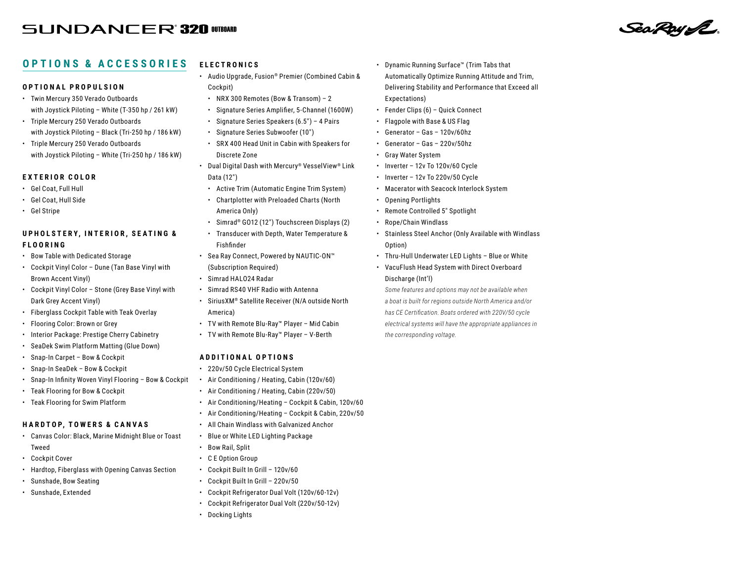# **SUNDANCER 320 OTBOARD**

#### **OPTIONS & ACCESSORIES ELECTRONICS**

## **OPTIONAL PROPULSION**

- Twin Mercury 350 Verado Outboards with Joystick Piloting – White (T-350 hp / 261 kW)
- Triple Mercury 250 Verado Outboards with Joystick Piloting – Black (Tri-250 hp / 186 kW)
- Triple Mercury 250 Verado Outboards with Joystick Piloting – White (Tri-250 hp / 186 kW)

## **EXTERIOR COLOR**

- Gel Coat, Full Hull
- Gel Coat, Hull Side
- Gel Stripe

## **U P H O L S T E R Y , I N T E R I O R , S E A T I N G & FLOORING**

- Bow Table with Dedicated Storage
- Cockpit Vinyl Color Dune (Tan Base Vinyl with Brown Accent Vinyl)
- Cockpit Vinyl Color Stone (Grey Base Vinyl with Dark Grey Accent Vinyl)
- Fiberglass Cockpit Table with Teak Overlay
- Flooring Color: Brown or Grey
- Interior Package: Prestige Cherry Cabinetry
- SeaDek Swim Platform Matting (Glue Down)
- Snap-In Carpet Bow & Cockpit
- Snap-In SeaDek Bow & Cockpit
- Snap-In Infinity Woven Vinyl Flooring Bow & Cockpit
- Teak Flooring for Bow & Cockpit
- Teak Flooring for Swim Platform

## **H A R DTO P, TOW E RS & CA N VAS**

- Canvas Color: Black, Marine Midnight Blue or Toast Tweed
- Cockpit Cover
- Hardtop, Fiberglass with Opening Canvas Section
- Sunshade, Bow Seating
- Sunshade, Extended
- Audio Upgrade, Fusion® Premier (Combined Cabin & Cockpit)
- NRX 300 Remotes (Bow & Transom) 2
- Signature Series Amplifier, 5-Channel (1600W)
- Signature Series Speakers (6.5″) 4 Pairs
- Signature Series Subwoofer (10″)
- SRX 400 Head Unit in Cabin with Speakers for Discrete Zone
- Dual Digital Dash with Mercury® VesselView® Link Data (12″)
- Active Trim (Automatic Engine Trim System)
- Chartplotter with Preloaded Charts (North America Only)
- Simrad® GO12 (12″) Touchscreen Displays (2)
- Transducer with Depth, Water Temperature & Fishfinder
- Sea Ray Connect, Powered by NAUTIC-ON™ (Subscription Required)
- Simrad HALO24 Radar
- Simrad RS40 VHF Radio with Antenna
- SiriusXM® Satellite Receiver (N/A outside North America)
- TV with Remote Blu-Ray™ Player Mid Cabin
- TV with Remote Blu-Ray™ Player V-Berth

## **ADDITIONAL OPTIONS**

- 220v/50 Cycle Electrical System
- Air Conditioning / Heating, Cabin (120v/60)
- Air Conditioning / Heating, Cabin (220v/50)
- Air Conditioning/Heating Cockpit & Cabin, 120v/60
- Air Conditioning/Heating Cockpit & Cabin, 220v/50
- All Chain Windlass with Galvanized Anchor
- Blue or White LED Lighting Package
- Bow Rail, Split
- C E Option Group
- Cockpit Built In Grill 120v/60
- Cockpit Built In Grill 220v/50
- Cockpit Refrigerator Dual Volt (120v/60-12v)
- Cockpit Refrigerator Dual Volt (220v/50-12v)
- Docking Lights

• Dynamic Running Surface™ (Trim Tabs that Automatically Optimize Running Attitude and Trim, Delivering Stability and Performance that Exceed all Expectations)

Sea Roy SE

- Fender Clips (6) Quick Connect
- Flagpole with Base & US Flag
- Generator Gas 120v/60hz
- Generator Gas 220v/50hz
- Gray Water System
- Inverter 12v To 120v/60 Cycle
- Inverter 12v To 220v/50 Cycle
- Macerator with Seacock Interlock System
- Opening Portlights
- Remote Controlled 5″ Spotlight
- Rope/Chain Windlass
- Stainless Steel Anchor (Only Available with Windlass Option)
- Thru-Hull Underwater LED Lights Blue or White
- VacuFlush Head System with Direct Overboard Discharge (Int'l)

*Some features and options may not be available when a boat is built for regions outside North America and/or has CE Certification. Boats ordered with 220V/50 cycle electrical systems will have the appropriate appliances in the corresponding voltage.*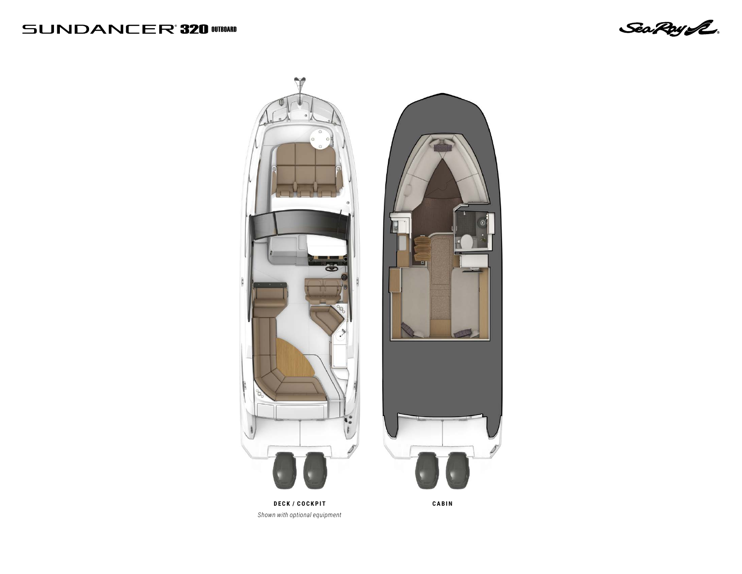# **SUNDANCER'320 WIERER**

Sea Roy L.